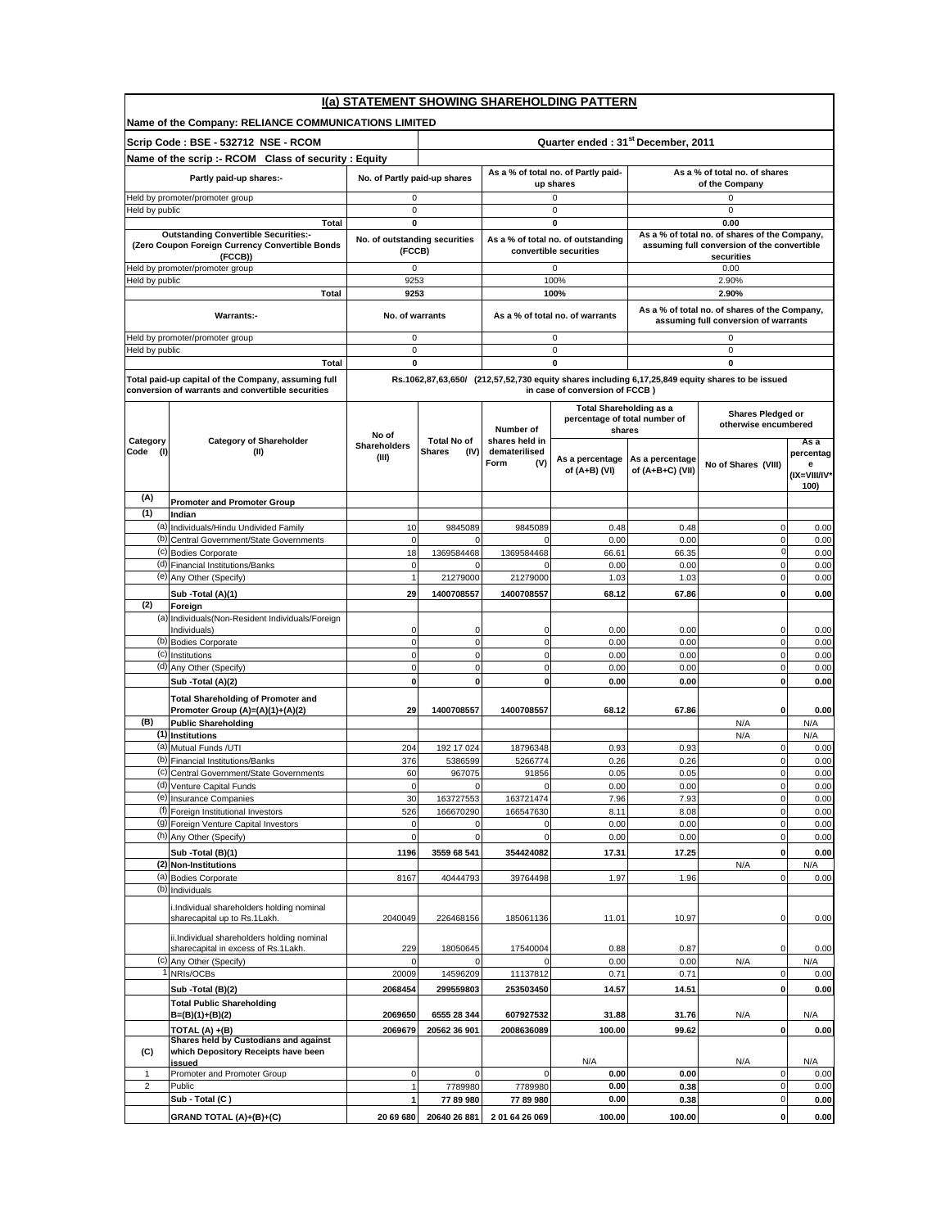| I(a) STATEMENT SHOWING SHAREHOLDING PATTERN |                                                                                                          |                                         |                                                |                                                  |                                                                           |                                     |                                                                                                  |                                                |
|---------------------------------------------|----------------------------------------------------------------------------------------------------------|-----------------------------------------|------------------------------------------------|--------------------------------------------------|---------------------------------------------------------------------------|-------------------------------------|--------------------------------------------------------------------------------------------------|------------------------------------------------|
|                                             | Name of the Company: RELIANCE COMMUNICATIONS LIMITED                                                     |                                         |                                                |                                                  |                                                                           |                                     |                                                                                                  |                                                |
|                                             | Scrip Code : BSE - 532712 NSE - RCOM                                                                     |                                         | Quarter ended: 31 <sup>st</sup> December, 2011 |                                                  |                                                                           |                                     |                                                                                                  |                                                |
|                                             | Name of the scrip :- RCOM Class of security : Equity                                                     |                                         |                                                |                                                  |                                                                           |                                     |                                                                                                  |                                                |
|                                             | Partly paid-up shares:-                                                                                  | No. of Partly paid-up shares            |                                                | As a % of total no. of Partly paid-<br>up shares |                                                                           |                                     | As a % of total no, of shares<br>of the Company                                                  |                                                |
|                                             | Held by promoter/promoter group                                                                          | 0                                       |                                                |                                                  | 0                                                                         |                                     | 0                                                                                                |                                                |
| Held by public                              |                                                                                                          | $\pmb{0}$<br>0                          |                                                |                                                  | $\mathsf 0$<br>$\mathbf 0$                                                |                                     | $\mathbf 0$<br>0.00                                                                              |                                                |
|                                             | Total<br><b>Outstanding Convertible Securities:-</b>                                                     |                                         |                                                |                                                  |                                                                           |                                     | As a % of total no. of shares of the Company,                                                    |                                                |
|                                             | (Zero Coupon Foreign Currency Convertible Bonds<br>(FCCB))                                               | No. of outstanding securities<br>(FCCB) |                                                |                                                  | As a % of total no. of outstanding<br>convertible securities              |                                     | assuming full conversion of the convertible<br>securities                                        |                                                |
| Held by public                              | leld by promoter/promoter group                                                                          | $\mathbf 0$<br>9253                     |                                                |                                                  | $\mathbf 0$<br>100%                                                       |                                     | 0.00<br>2.90%                                                                                    |                                                |
|                                             | Total                                                                                                    | 9253                                    |                                                |                                                  | 100%                                                                      |                                     | 2.90%                                                                                            |                                                |
|                                             | Warrants:-                                                                                               | No. of warrants                         |                                                |                                                  | As a % of total no. of warrants                                           |                                     | As a % of total no. of shares of the Company,<br>assuming full conversion of warrants            |                                                |
|                                             | Held by promoter/promoter group                                                                          | $\pmb{0}$                               |                                                |                                                  | $\mathbf 0$                                                               |                                     | 0                                                                                                |                                                |
| Held by public                              | Total                                                                                                    | $\pmb{0}$<br>0                          |                                                |                                                  | 0<br>0                                                                    |                                     | 0<br>0                                                                                           |                                                |
|                                             |                                                                                                          |                                         |                                                |                                                  |                                                                           |                                     | Rs.1062,87,63,650/ (212,57,52,730 equity shares including 6,17,25,849 equity shares to be issued |                                                |
|                                             | Total paid-up capital of the Company, assuming full<br>conversion of warrants and convertible securities |                                         |                                                |                                                  | in case of conversion of FCCB)                                            |                                     |                                                                                                  |                                                |
|                                             |                                                                                                          |                                         |                                                | Number of                                        | <b>Total Shareholding as a</b><br>percentage of total number of<br>shares |                                     | <b>Shares Pledged or</b><br>otherwise encumbered                                                 |                                                |
| Category<br>Code (I)                        | <b>Category of Shareholder</b><br>(II)                                                                   | No of<br>Shareholders<br>(III)          | <b>Total No of</b><br>Shares<br>(IV)           | shares held in<br>dematerilised<br>Form<br>(V)   | As a percentage<br>of (A+B) (VI)                                          | As a percentage<br>of (A+B+C) (VII) | No of Shares (VIII)                                                                              | As a<br>percentag<br>е<br>(IX=VIII/IV*<br>100) |
| (A)                                         | <b>Promoter and Promoter Group</b>                                                                       |                                         |                                                |                                                  |                                                                           |                                     |                                                                                                  |                                                |
| (1)                                         | Indian                                                                                                   |                                         |                                                |                                                  |                                                                           |                                     |                                                                                                  |                                                |
| (b)                                         | (a) Individuals/Hindu Undivided Family<br>Central Government/State Governments                           | 10<br>$\mathbf 0$                       | 9845089<br>$\Omega$                            | 9845089<br>$\mathbf 0$                           | 0.48<br>0.00                                                              | 0.48<br>0.00                        | $\mathbf 0$<br>0                                                                                 | 0.00<br>0.00                                   |
|                                             | (c) Bodies Corporate                                                                                     | 18                                      | 1369584468                                     | 1369584468                                       | 66.61                                                                     | 66.35                               | $\mathbf 0$                                                                                      | 0.00                                           |
|                                             | (d) Financial Institutions/Banks                                                                         | $\mathbf 0$                             | $\mathbf 0$                                    | $\mathbf{0}$                                     | 0.00                                                                      | 0.00                                | $\mathbf 0$                                                                                      | 0.00                                           |
|                                             | (e) Any Other (Specify)                                                                                  | $\mathbf{1}$                            | 21279000                                       | 21279000                                         | 1.03                                                                      | 1.03                                | 0                                                                                                | 0.00                                           |
|                                             | Sub - Total (A)(1)                                                                                       | 29                                      | 1400708557                                     | 1400708557                                       | 68.12                                                                     | 67.86                               | $\mathbf{0}$                                                                                     | 0.00                                           |
| (2)                                         | Foreign<br>(a) Individuals (Non-Resident Individuals/Foreign<br>Individuals)                             |                                         | 0                                              |                                                  |                                                                           |                                     | 0                                                                                                |                                                |
| (b)                                         | <b>Bodies Corporate</b>                                                                                  | 0<br>$\mathbf 0$                        | $\mathbf 0$                                    | 0<br>$\mathbf{0}$                                | 0.00<br>0.00                                                              | 0.00<br>0.00                        | 0                                                                                                | 0.00<br>0.00                                   |
|                                             | (c) Institutions                                                                                         | $\mathbf 0$                             | 0                                              | $\mathbf 0$                                      | 0.00                                                                      | 0.00                                | $\mathbf 0$                                                                                      | 0.00                                           |
|                                             | (d) Any Other (Specify)                                                                                  | $\mathbf 0$                             | $\mathbf 0$                                    | $\mathbf{0}$                                     | 0.00                                                                      | 0.00                                | 0                                                                                                | 0.00                                           |
|                                             | Sub - Total (A)(2)                                                                                       | $\mathbf{0}$                            | 0                                              | <sub>0</sub>                                     | 0.00                                                                      | 0.00                                | 0                                                                                                | 0.00                                           |
|                                             | <b>Total Shareholding of Promoter and</b><br>Promoter Group (A)=(A)(1)+(A)(2)                            | 29                                      | 1400708557                                     | 1400708557                                       | 68.12                                                                     | 67.86                               | 0                                                                                                | 0.00                                           |
| (B)                                         | <b>Public Shareholding</b>                                                                               |                                         |                                                |                                                  |                                                                           |                                     | N/A                                                                                              | N/A                                            |
|                                             | (1) Institutions                                                                                         |                                         |                                                |                                                  |                                                                           |                                     | N/A                                                                                              | N/A                                            |
| (b)                                         | (a) Mutual Funds /UTI<br>Financial Institutions/Banks                                                    | 204<br>376                              | 192 17 024<br>5386599                          | 18796348<br>5266774                              | 0.93<br>0.26                                                              | 0.93<br>0.26                        | $\mathbf 0$<br>0                                                                                 | 0.00<br>0.00                                   |
|                                             | (c) Central Government/State Governments                                                                 | 60                                      | 967075                                         | 91856                                            | 0.05                                                                      | 0.05                                | 0                                                                                                | 0.00                                           |
|                                             | (d) Venture Capital Funds                                                                                | $\mathbf 0$                             | $\mathbf 0$                                    | $\overline{0}$                                   | 0.00                                                                      | 0.00                                | $\Omega$                                                                                         | 0.00                                           |
|                                             | (e) Insurance Companies                                                                                  | 30                                      | 163727553                                      | 163721474                                        | 7.96                                                                      | 7.93                                | $\pmb{0}$                                                                                        | 0.00                                           |
|                                             | (f) Foreign Institutional Investors<br>(g) Foreign Venture Capital Investors                             | 526<br>$\pmb{0}$                        | 166670290<br>0                                 | 166547630<br>$\mathbf 0$                         | 8.11<br>0.00                                                              | 8.08<br>0.00                        | $\pmb{0}$<br>0                                                                                   | 0.00<br>0.00                                   |
|                                             | (h) Any Other (Specify)                                                                                  | $\mathbf 0$                             | $\mathbf 0$                                    | $\mathbf{0}$                                     | 0.00                                                                      | 0.00                                | $\mathbf 0$                                                                                      | 0.00                                           |
|                                             | Sub - Total (B)(1)                                                                                       | 1196                                    | 3559 68 541                                    | 354424082                                        | 17.31                                                                     | 17.25                               | $\mathbf{0}$                                                                                     | 0.00                                           |
| (2)                                         | <b>Non-Institutions</b>                                                                                  |                                         |                                                |                                                  |                                                                           |                                     | N/A                                                                                              | N/A                                            |
| (a)<br>(b)                                  | <b>Bodies Corporate</b><br>Individuals                                                                   | 8167                                    | 40444793                                       | 39764498                                         | 1.97                                                                      | 1.96                                | $\mathbf 0$                                                                                      | 0.00                                           |
|                                             | i.Individual shareholders holding nominal<br>sharecapital up to Rs.1Lakh.                                |                                         | 226468156                                      |                                                  |                                                                           |                                     |                                                                                                  |                                                |
|                                             | ii.Individual shareholders holding nominal                                                               | 2040049                                 |                                                | 185061136                                        | 11.01                                                                     | 10.97                               | 0                                                                                                | 0.00                                           |
| (c)                                         | sharecapital in excess of Rs.1Lakh.<br>Any Other (Specify)                                               | 229<br>$\Omega$                         | 18050645                                       | 17540004<br>$\Omega$                             | 0.88<br>0.00                                                              | 0.87<br>0.00                        | 0<br>N/A                                                                                         | 0.00<br>N/A                                    |
|                                             | NRIs/OCBs                                                                                                | 20009                                   | 14596209                                       | 11137812                                         | 0.71                                                                      | 0.71                                | $\overline{0}$                                                                                   | 0.00                                           |
|                                             | Sub - Total (B)(2)                                                                                       | 2068454                                 | 299559803                                      | 253503450                                        | 14.57                                                                     | 14.51                               | $\mathbf 0$                                                                                      | 0.00                                           |
|                                             | <b>Total Public Shareholding</b><br>B=(B)(1)+(B)(2)                                                      | 2069650                                 | 6555 28 344                                    | 607927532                                        | 31.88                                                                     | 31.76                               | N/A                                                                                              | N/A                                            |
|                                             | TOTAL (A) +(B)                                                                                           | 2069679                                 | 20562 36 901                                   | 2008636089                                       | 100.00                                                                    | 99.62                               | $\mathbf{0}$                                                                                     | 0.00                                           |
| (C)                                         | Shares held by Custodians and against<br>which Depository Receipts have been<br>issued                   |                                         |                                                |                                                  | N/A                                                                       |                                     | N/A                                                                                              | N/A                                            |
| 1                                           | Promoter and Promoter Group                                                                              | $\mathsf 0$                             | $\Omega$                                       | 0                                                | 0.00                                                                      | 0.00                                | 0                                                                                                | 0.00                                           |
| $\overline{2}$                              | Public                                                                                                   | $\mathbf{1}$                            | 7789980                                        | 7789980                                          | 0.00                                                                      | 0.38                                | $\mathsf{O}\xspace$                                                                              | 0.00                                           |
|                                             | Sub - Total (C)                                                                                          | $\mathbf{1}$                            | 77 89 980                                      | 7789980                                          | 0.00                                                                      | 0.38                                | $\mathsf{O}\xspace$                                                                              | 0.00                                           |
|                                             | GRAND TOTAL (A)+(B)+(C)                                                                                  | 20 69 680                               | 20640 26 881                                   | 2 01 64 26 069                                   | 100.00                                                                    | 100.00                              | 0                                                                                                | 0.00                                           |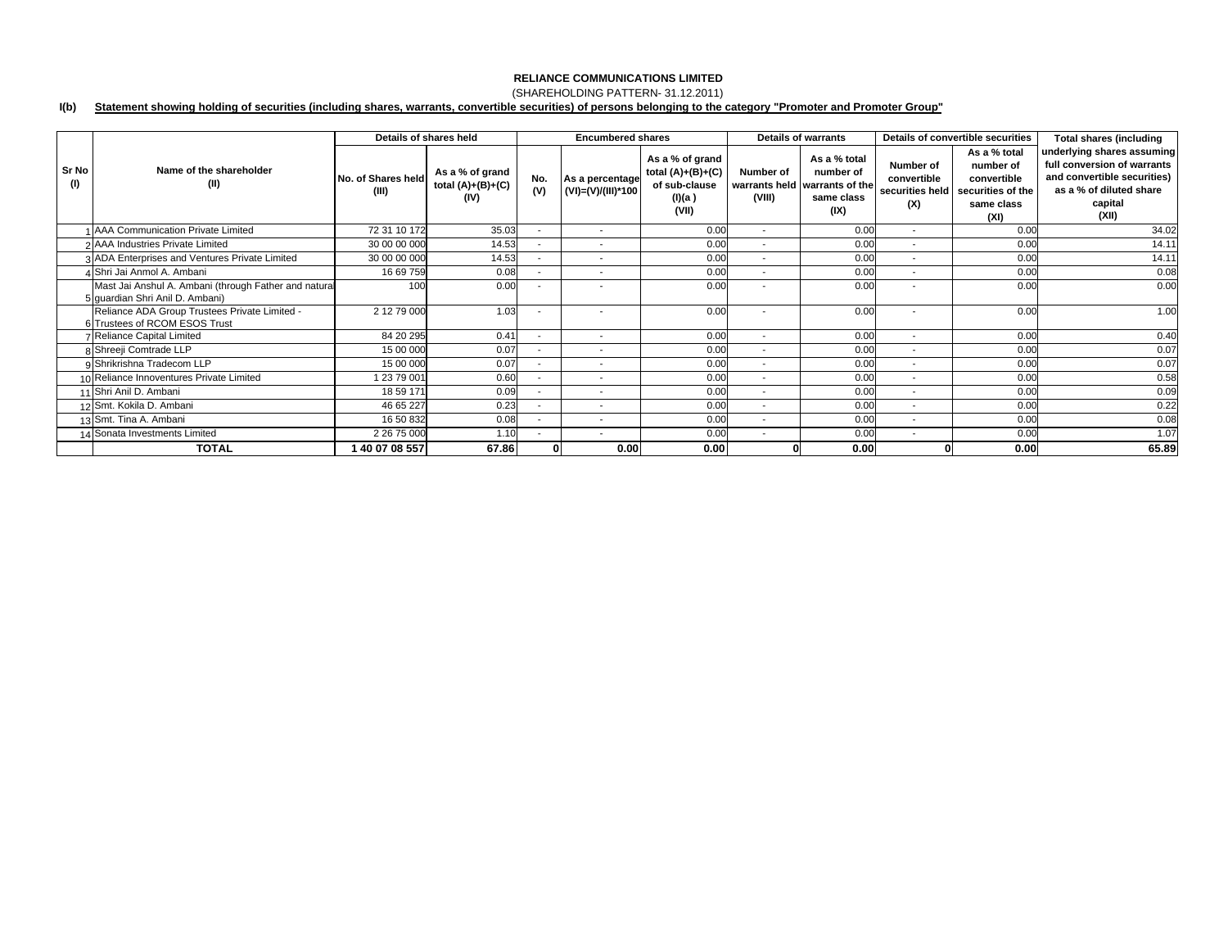## (SHAREHOLDING PATTERN- 31.12.2011)

#### **I(b) Statement showing holding of securities (including shares, warrants, convertible securities) of persons belonging to the category "Promoter and Promoter Group"**

|              |                                                                                          | Details of shares held      |                                                | <b>Encumbered shares</b> |                                       |                                                                            | <b>Details of warrants</b> |                                                                                  | Details of convertible securities |                                                                                                     | <b>Total shares (including</b>                                                                                                          |
|--------------|------------------------------------------------------------------------------------------|-----------------------------|------------------------------------------------|--------------------------|---------------------------------------|----------------------------------------------------------------------------|----------------------------|----------------------------------------------------------------------------------|-----------------------------------|-----------------------------------------------------------------------------------------------------|-----------------------------------------------------------------------------------------------------------------------------------------|
| Sr No<br>(1) | Name of the shareholder<br>(II)                                                          | No. of Shares held<br>(III) | As a % of grand<br>total $(A)+(B)+(C)$<br>(IV) | No.<br>(V)               | As a percentage<br>(VI)=(V)/(III)*100 | As a % of grand<br>total $(A)+(B)+(C)$<br>of sub-clause<br>(I)(a)<br>(VII) | Number of<br>(VIII)        | As a % total<br>number of<br>warrants held warrants of the<br>same class<br>(IX) | Number of<br>convertible<br>(X)   | As a % total<br>number of<br>convertible<br>securities held securities of the<br>same class<br>(XI) | underlying shares assuming<br>full conversion of warrants<br>and convertible securities)<br>as a % of diluted share<br>capital<br>(XII) |
|              | AAA Communication Private Limited                                                        | 72 31 10 172                | 35.03                                          |                          | $\overline{\phantom{a}}$              | 0.00                                                                       | $\sim$                     | 0.00                                                                             | $\sim$                            | 0.00                                                                                                | 34.02                                                                                                                                   |
|              | 2 AAA Industries Private Limited                                                         | 30 00 00 000                | 14.53                                          | ۰.                       | $\overline{\phantom{a}}$              | 0.00                                                                       | $\overline{\phantom{a}}$   | 0.00                                                                             | $\overline{\phantom{a}}$          | 0.00                                                                                                | 14.1                                                                                                                                    |
|              | 3 ADA Enterprises and Ventures Private Limited                                           | 30 00 00 000                | 14.53                                          |                          |                                       | 0.00                                                                       |                            | 0.00                                                                             |                                   | 0.00                                                                                                | 14.1                                                                                                                                    |
|              | 4 Shri Jai Anmol A. Ambani                                                               | 16 69 759                   | 0.08                                           |                          |                                       | 0.00                                                                       |                            | 0.00                                                                             |                                   | 0.00                                                                                                | 0.08                                                                                                                                    |
|              | Mast Jai Anshul A. Ambani (through Father and natural<br>5 quardian Shri Anil D. Ambani) | 100                         | 0.00                                           |                          |                                       | 0.00                                                                       |                            | 0.00                                                                             |                                   | 0.00                                                                                                | 0.00                                                                                                                                    |
|              | Reliance ADA Group Trustees Private Limited -<br>6 Trustees of RCOM ESOS Trust           | 2 12 79 000                 | 1.03                                           |                          | $\overline{\phantom{a}}$              | 0.00                                                                       |                            | 0.00                                                                             |                                   | 0.00                                                                                                | 1.00                                                                                                                                    |
|              | 7 Reliance Capital Limited                                                               | 84 20 295                   | 0.41                                           |                          | $\overline{\phantom{a}}$              | 0.00                                                                       | $\overline{\phantom{a}}$   | 0.00                                                                             | $\sim$                            | 0.00                                                                                                | 0.40                                                                                                                                    |
|              | 8 Shreeji Comtrade LLP                                                                   | 15 00 000                   | 0.07                                           |                          | $\overline{\phantom{a}}$              | 0.00                                                                       | $\overline{\phantom{a}}$   | 0.00                                                                             | $\overline{\phantom{a}}$          | 0.00                                                                                                | 0.07                                                                                                                                    |
|              | 9 Shrikrishna Tradecom LLP                                                               | 15 00 000                   | 0.07                                           |                          |                                       | 0.00                                                                       |                            | 0.00                                                                             |                                   | 0.00                                                                                                | 0.07                                                                                                                                    |
|              | 10 Reliance Innoventures Private Limited                                                 | 23 79 001                   | 0.60                                           |                          |                                       | 0.00                                                                       |                            | 0.00                                                                             |                                   | 0.00                                                                                                | 0.58                                                                                                                                    |
|              | 11 Shri Anil D. Ambani                                                                   | 18 59 171                   | 0.09                                           |                          | $\overline{\phantom{a}}$              | 0.00                                                                       | $\overline{\phantom{a}}$   | 0.00                                                                             | $\overline{\phantom{a}}$          | 0.00                                                                                                | 0.09                                                                                                                                    |
|              | 12 Smt. Kokila D. Ambani                                                                 | 46 65 227                   | 0.23                                           |                          | $\overline{\phantom{a}}$              | 0.00                                                                       | $\overline{\phantom{a}}$   | 0.00                                                                             | $\overline{\phantom{a}}$          | 0.00                                                                                                | 0.22                                                                                                                                    |
|              | 13 Smt. Tina A. Ambani                                                                   | 16 50 832                   | 0.08                                           |                          | $\overline{\phantom{a}}$              | 0.00                                                                       | $\overline{\phantom{a}}$   | 0.00                                                                             | $\sim$                            | 0.00                                                                                                | 0.08                                                                                                                                    |
|              | 14 Sonata Investments Limited                                                            | 2 26 75 000                 | 1.10                                           |                          | $\overline{\phantom{a}}$              | 0.00                                                                       | $\sim$                     | 0.00                                                                             | $\sim$                            | 0.00                                                                                                | 1.07                                                                                                                                    |
|              | <b>TOTAL</b>                                                                             | 40 07 08 557                | 67.86                                          |                          | 0.00                                  | 0.00                                                                       |                            | 0.00                                                                             |                                   | 0.00                                                                                                | 65.89                                                                                                                                   |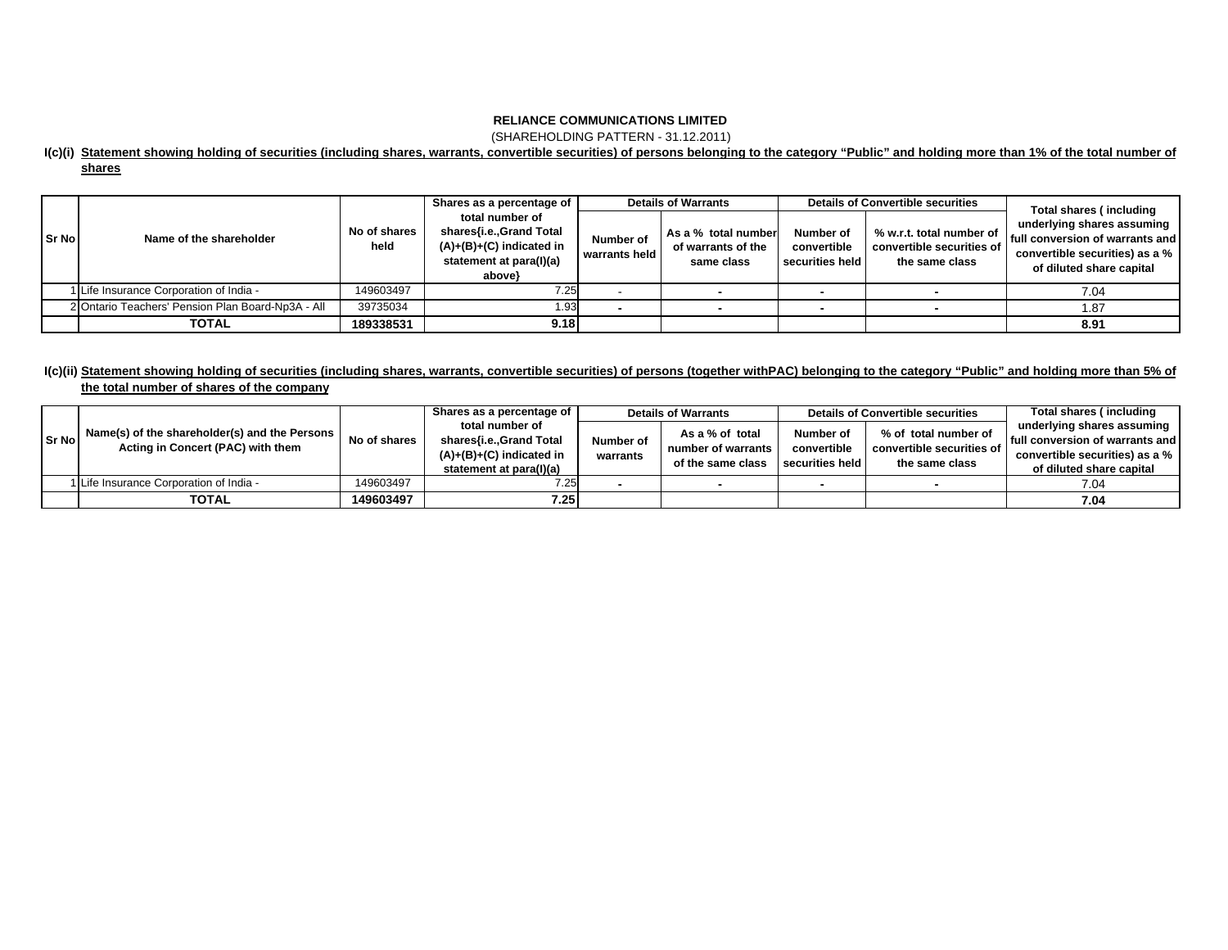(SHAREHOLDING PATTERN - 31.12.2011)

### **I(c)(i) Statement showing holding of securities (including shares, warrants, convertible securities) of persons belonging to the category "Public" and holding more than 1% of the total number of shares**

|       |                                                   |                      | Shares as a percentage of                                                                                     | <b>Details of Warrants</b> |                                                         | <b>Details of Convertible securities</b>           |                                                                         | Total shares (including                                                                                                               |  |
|-------|---------------------------------------------------|----------------------|---------------------------------------------------------------------------------------------------------------|----------------------------|---------------------------------------------------------|----------------------------------------------------|-------------------------------------------------------------------------|---------------------------------------------------------------------------------------------------------------------------------------|--|
| Sr No | Name of the shareholder                           | No of shares<br>held | total number of<br>shares{i.e.,Grand Total<br>$(A)+(B)+(C)$ indicated in<br>statement at para(I)(a)<br>above} | Number of<br>warrants held | As a % total number<br>of warrants of the<br>same class | <b>Number of</b><br>convertible<br>securities held | % w.r.t. total number of<br>convertible securities of<br>the same class | underlying shares assuming<br><b>Ifull conversion of warrants and I</b><br>convertible securities) as a %<br>of diluted share capital |  |
|       | 1 Life Insurance Corporation of India -           | 149603497            | 7.25                                                                                                          |                            |                                                         |                                                    |                                                                         | 7.04                                                                                                                                  |  |
|       | 2 Ontario Teachers' Pension Plan Board-Np3A - All | 39735034             | 1.93                                                                                                          |                            |                                                         |                                                    |                                                                         | 1.87                                                                                                                                  |  |
|       | <b>TOTAL</b>                                      | 189338531            | 9.18                                                                                                          |                            |                                                         |                                                    |                                                                         | 8.91                                                                                                                                  |  |

# **I(c)(ii) Statement showing holding of securities (including shares, warrants, convertible securities) of persons (together withPAC) belonging to the category "Public" and holding more than 5% of**

|--|

| Sr No | Name(s) of the shareholder(s) and the Persons<br>Acting in Concert (PAC) with them | No of shares | Shares as a percentage of                             | <b>Details of Warrants</b> |                                                            | <b>Details of Convertible securities</b> |                                                                     | Total shares (including                 |
|-------|------------------------------------------------------------------------------------|--------------|-------------------------------------------------------|----------------------------|------------------------------------------------------------|------------------------------------------|---------------------------------------------------------------------|-----------------------------------------|
|       |                                                                                    |              | total number of                                       |                            | As a % of total<br>number of warrants<br>of the same class | Number of                                | % of total number of<br>convertible securities of<br>the same class | underlying shares assuming              |
|       |                                                                                    |              | shares{i.e.,Grand Total<br>$(A)+(B)+(C)$ indicated in | Number of<br>warrants      |                                                            | convertible<br>securities held           |                                                                     | <b>Ifull conversion of warrants and</b> |
|       |                                                                                    |              |                                                       |                            |                                                            |                                          |                                                                     | convertible securities) as a %          |
|       |                                                                                    |              | statement at para(I)(a)                               |                            |                                                            |                                          |                                                                     | of diluted share capital                |
|       | 1 Life Insurance Corporation of India -                                            | 149603497    | 7.25                                                  |                            |                                                            |                                          |                                                                     | 7.04                                    |
|       | <b>TOTAL</b>                                                                       | 149603497    | 7.25                                                  |                            |                                                            |                                          |                                                                     | 7.04                                    |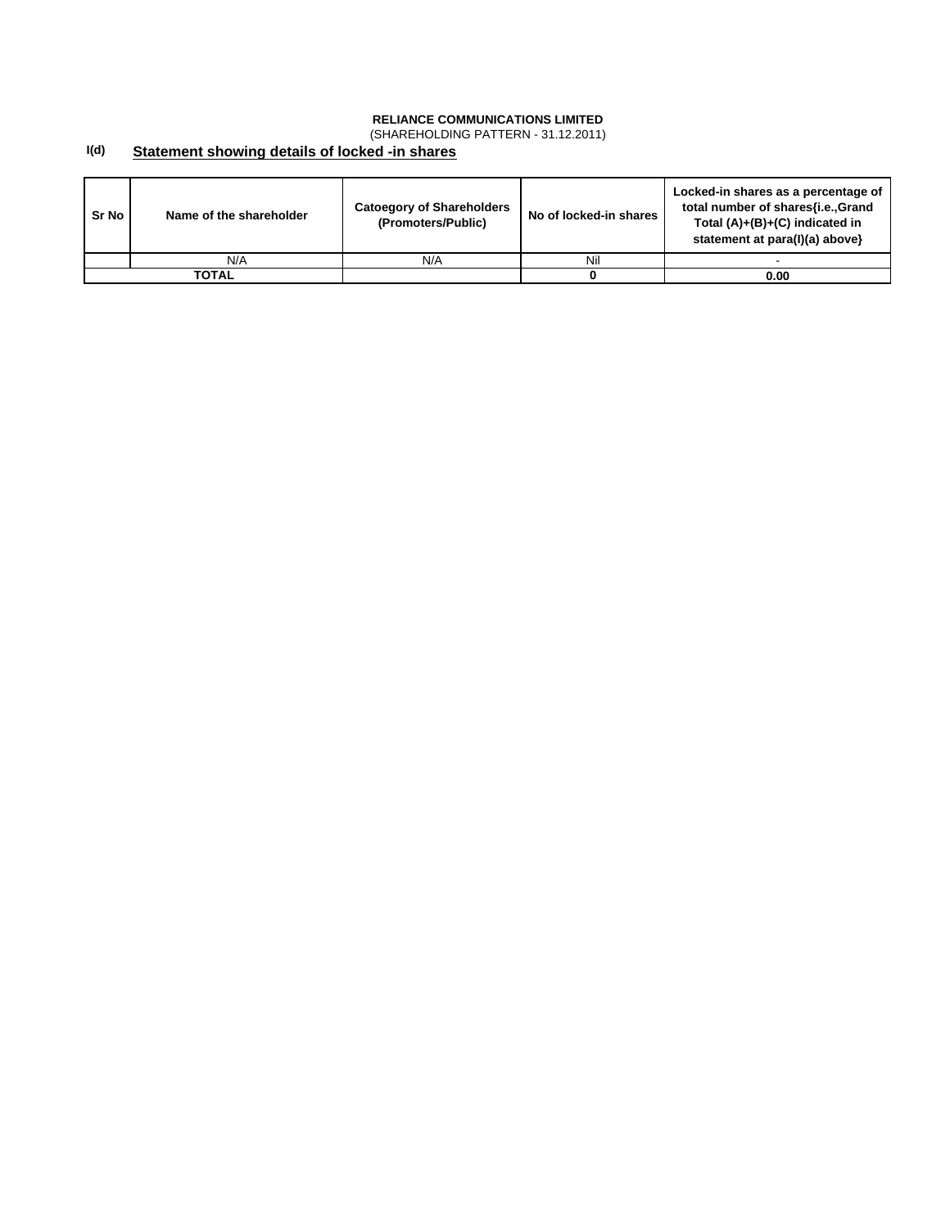(SHAREHOLDING PATTERN - 31.12.2011)

#### **I(d) Statement showing details of locked -in shares**

| Sr No | Name of the shareholder | <b>Catoegory of Shareholders</b><br>(Promoters/Public) | No of locked-in shares | Locked-in shares as a percentage of<br>total number of shares{i.e., Grand<br>Total $(A)+(B)+(C)$ indicated in<br>statement at para(I)(a) above} |
|-------|-------------------------|--------------------------------------------------------|------------------------|-------------------------------------------------------------------------------------------------------------------------------------------------|
|       | N/A                     | N/A                                                    | Nil                    |                                                                                                                                                 |
|       | TOTAL                   |                                                        |                        | 0.00                                                                                                                                            |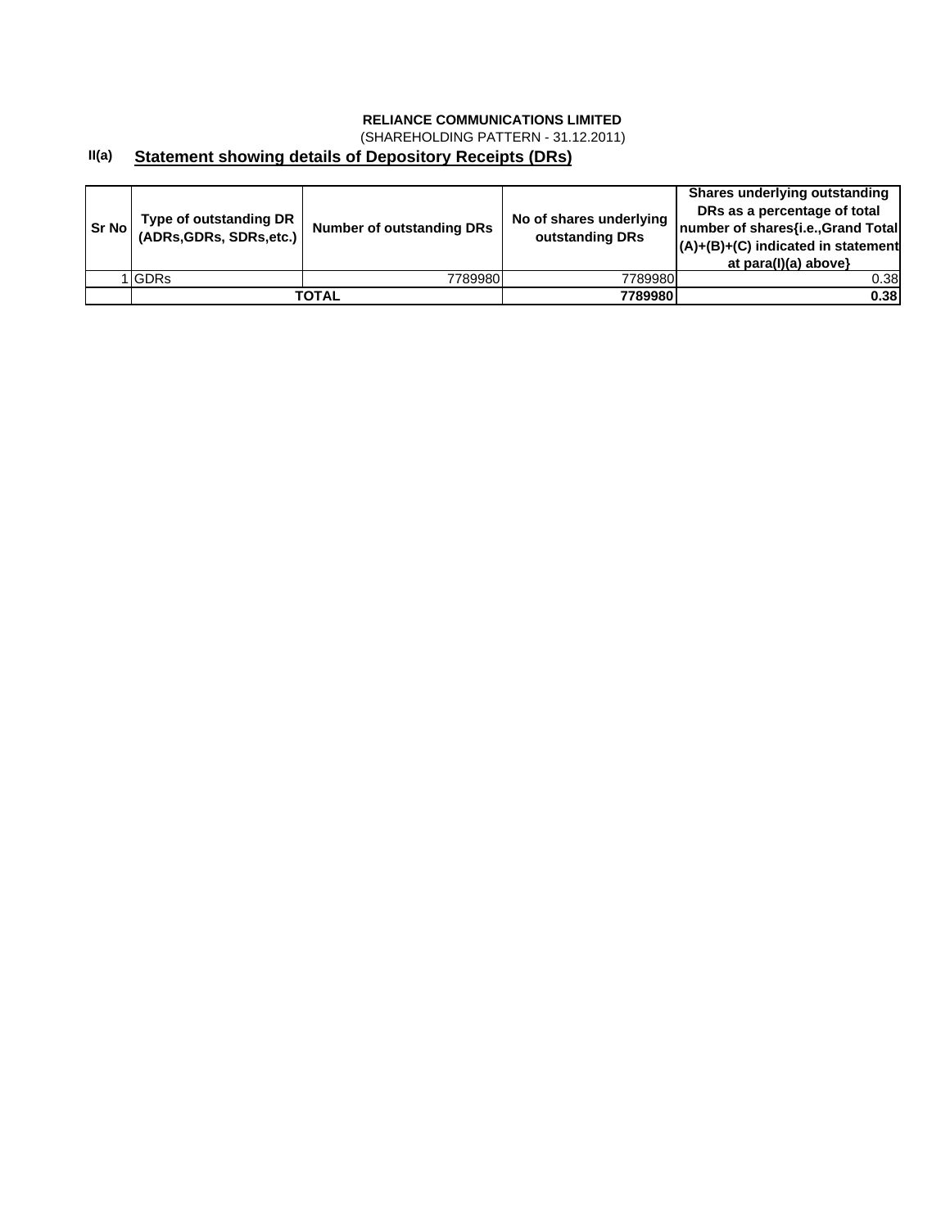(SHAREHOLDING PATTERN - 31.12.2011)

#### **II(a) Statement showing details of Depository Receipts (DRs)**

| <b>Sr No I</b> | Type of outstanding DR<br>(ADRs, GDRs, SDRs, etc.) | <b>Number of outstanding DRs</b> | No of shares underlying<br>outstanding DRs | Shares underlying outstanding<br>DRs as a percentage of total<br>Inumber of shares{i.e., Grand Total<br>$(A)+(B)+(C)$ indicated in statement<br>at para(I)(a) above} |
|----------------|----------------------------------------------------|----------------------------------|--------------------------------------------|----------------------------------------------------------------------------------------------------------------------------------------------------------------------|
|                | <b>IGDRs</b>                                       | 7789980                          | 7789980                                    | 0.38                                                                                                                                                                 |
|                |                                                    | TOTAL                            | 7789980                                    | 0.38                                                                                                                                                                 |